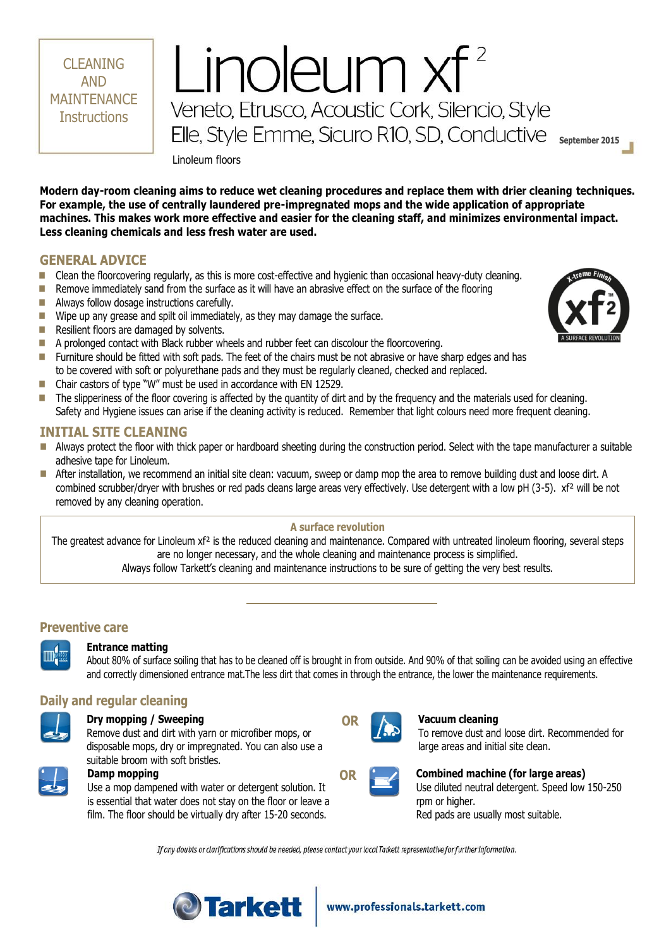Linoleum floors

**Modern day-room cleaning aims to reduce wet cleaning procedures and replace them with drier cleaning techniques. For example, the use of centrally laundered pre-impregnated mops and the wide application of appropriate machines. This makes work more effective and easier for the cleaning staff, and minimizes environmental impact. Less cleaning chemicals and less fresh water are used.**

Linoleum  $xf^2$ 

Veneto, Etrusco, Acoustic Cork, Silencio, Style

Elle, Style Emme, Sicuro R10, SD, Conductive september 2015

## **GENERAL ADVICE**

CLEANING AND **MAINTFNANCF Instructions** 

- **Clean the floorcovering regularly, as this is more cost-effective and hygienic than occasional heavy-duty cleaning.**
- Remove immediately sand from the surface as it will have an abrasive effect on the surface of the flooring
- **Always follow dosage instructions carefully.**
- $\blacksquare$  Wipe up any grease and spilt oil immediately, as they may damage the surface.
- Resilient floors are damaged by solvents.
- A prolonged contact with Black rubber wheels and rubber feet can discolour the floorcovering.
- Furniture should be fitted with soft pads. The feet of the chairs must be not abrasive or have sharp edges and has to be covered with soft or polyurethane pads and they must be regularly cleaned, checked and replaced.
- Chair castors of type "W" must be used in accordance with EN 12529.
- The slipperiness of the floor covering is affected by the quantity of dirt and by the frequency and the materials used for cleaning. Safety and Hygiene issues can arise if the cleaning activity is reduced. Remember that light colours need more frequent cleaning.

### **INITIAL SITE CLEANING**

- Always protect the floor with thick paper or hardboard sheeting during the construction period. Select with the tape manufacturer a suitable adhesive tape for Linoleum.
- After installation, we recommend an initial site clean: vacuum, sweep or damp mop the area to remove building dust and loose dirt. A combined scrubber/dryer with brushes or red pads cleans large areas very effectively. Use detergent with a low pH (3-5). xf<sup>2</sup> will be not removed by any cleaning operation.

#### **A surface revolution**

The greatest advance for Linoleum xf<sup>2</sup> is the reduced cleaning and maintenance. Compared with untreated linoleum flooring, several steps are no longer necessary, and the whole cleaning and maintenance process is simplified. Always follow Tarkett's cleaning and maintenance instructions to be sure of getting the very best results.

## **Preventive care**

### **Entrance matting**

About 80% of surface soiling that has to be cleaned off is brought in from outside. And 90% of that soiling can be avoided using an effective and correctly dimensioned entrance mat.The less dirt that comes in through the entrance, the lower the maintenance requirements.

# **Daily and regular cleaning**

#### **Dry mopping / Sweeping**

Remove dust and dirt with yarn or microfiber mops, or disposable mops, dry or impregnated. You can also use a suitable broom with soft bristles.



### **Damp mopping**

Use a mop dampened with water or detergent solution. It is essential that water does not stay on the floor or leave a film. The floor should be virtually dry after 15-20 seconds.



### **OR Vacuum cleaning**

To remove dust and loose dirt. Recommended for large areas and initial site clean.



## **OR Combined machine (for large areas)**

Use diluted neutral detergent. Speed low 150-250 rpm or higher. Red pads are usually most suitable.

If any doubts or clarifications should be needed, please contact your local Tarkett representative for further information.



## www.professionals.tarkett.com

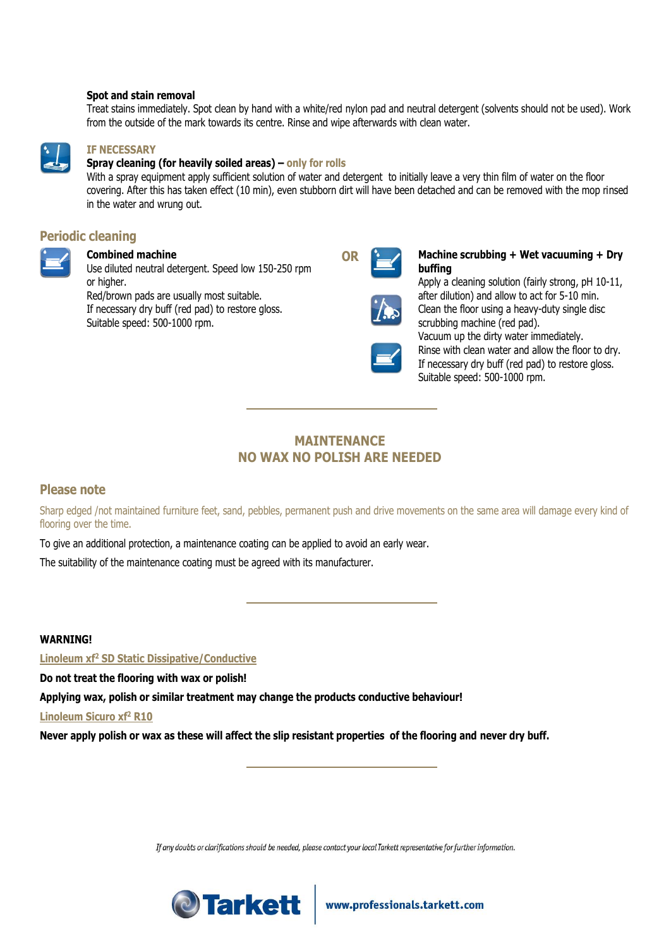#### **Spot and stain removal**

Treat stains immediately. Spot clean by hand with a white/red nylon pad and neutral detergent (solvents should not be used). Work from the outside of the mark towards its centre. Rinse and wipe afterwards with clean water.



#### **IF NECESSARY**

#### **Spray cleaning (for heavily soiled areas) – only for rolls**

With a spray equipment apply sufficient solution of water and detergent to initially leave a very thin film of water on the floor covering. After this has taken effect (10 min), even stubborn dirt will have been detached and can be removed with the mop rinsed in the water and wrung out.

## **Periodic cleaning**



# **Combined machine**

Use diluted neutral detergent. Speed low 150-250 rpm or higher. Red/brown pads are usually most suitable. If necessary dry buff (red pad) to restore gloss. Suitable speed: 500-1000 rpm.



#### **OR Machine scrubbing + Wet vacuuming + Dry buffing**

Apply a cleaning solution (fairly strong, pH 10-11, after dilution) and allow to act for 5-10 min. Clean the floor using a heavy-duty single disc scrubbing machine (red pad). Vacuum up the dirty water immediately.

Rinse with clean water and allow the floor to dry. If necessary dry buff (red pad) to restore gloss. Suitable speed: 500-1000 rpm.

# **MAINTENANCE NO WAX NO POLISH ARE NEEDED**

## **Please note**

Sharp edged /not maintained furniture feet, sand, pebbles, permanent push and drive movements on the same area will damage every kind of flooring over the time.

To give an additional protection, a maintenance coating can be applied to avoid an early wear.

The suitability of the maintenance coating must be agreed with its manufacturer.

### **WARNING!**

**Linoleum xf<sup>2</sup> SD Static Dissipative/Conductive**

**Do not treat the flooring with wax or polish!** 

**Applying wax, polish or similar treatment may change the products conductive behaviour!**

**Linoleum Sicuro xf<sup>2</sup> R10**

**Never apply polish or wax as these will affect the slip resistant properties of the flooring and never dry buff.**

If any doubts or clarifications should be needed, please contact your local Tarkett representative for further information.